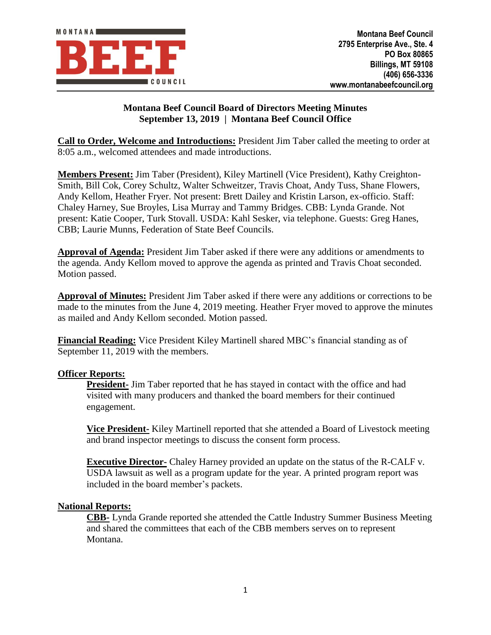

## **Montana Beef Council Board of Directors Meeting Minutes September 13, 2019 | Montana Beef Council Office**

**Call to Order, Welcome and Introductions:** President Jim Taber called the meeting to order at 8:05 a.m., welcomed attendees and made introductions.

**Members Present:** Jim Taber (President), Kiley Martinell (Vice President), Kathy Creighton-Smith, Bill Cok, Corey Schultz, Walter Schweitzer, Travis Choat, Andy Tuss, Shane Flowers, Andy Kellom, Heather Fryer. Not present: Brett Dailey and Kristin Larson, ex-officio. Staff: Chaley Harney, Sue Broyles, Lisa Murray and Tammy Bridges. CBB: Lynda Grande. Not present: Katie Cooper, Turk Stovall. USDA: Kahl Sesker, via telephone. Guests: Greg Hanes, CBB; Laurie Munns, Federation of State Beef Councils.

**Approval of Agenda:** President Jim Taber asked if there were any additions or amendments to the agenda. Andy Kellom moved to approve the agenda as printed and Travis Choat seconded. Motion passed.

**Approval of Minutes:** President Jim Taber asked if there were any additions or corrections to be made to the minutes from the June 4, 2019 meeting. Heather Fryer moved to approve the minutes as mailed and Andy Kellom seconded. Motion passed.

**Financial Reading:** Vice President Kiley Martinell shared MBC's financial standing as of September 11, 2019 with the members.

## **Officer Reports:**

**President-** Jim Taber reported that he has stayed in contact with the office and had visited with many producers and thanked the board members for their continued engagement.

**Vice President-** Kiley Martinell reported that she attended a Board of Livestock meeting and brand inspector meetings to discuss the consent form process.

**Executive Director-** Chaley Harney provided an update on the status of the R-CALF v. USDA lawsuit as well as a program update for the year. A printed program report was included in the board member's packets.

#### **National Reports:**

**CBB-** Lynda Grande reported she attended the Cattle Industry Summer Business Meeting and shared the committees that each of the CBB members serves on to represent Montana.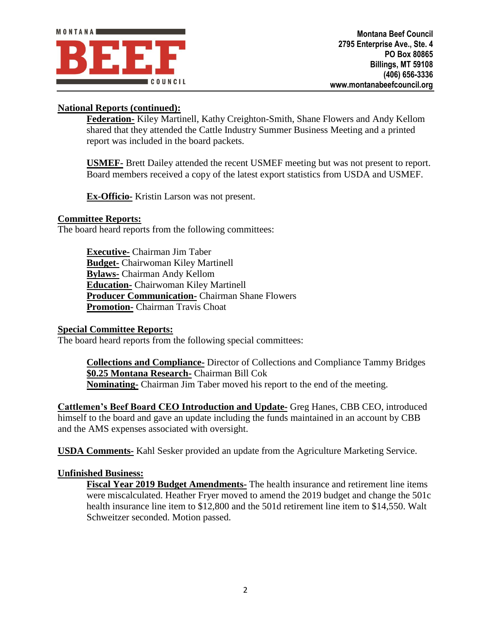# **National Reports (continued):**

**Federation-** Kiley Martinell, Kathy Creighton-Smith, Shane Flowers and Andy Kellom shared that they attended the Cattle Industry Summer Business Meeting and a printed report was included in the board packets.

**USMEF-** Brett Dailey attended the recent USMEF meeting but was not present to report. Board members received a copy of the latest export statistics from USDA and USMEF.

**Ex-Officio-** Kristin Larson was not present.

## **Committee Reports:**

The board heard reports from the following committees:

**Executive-** Chairman Jim Taber **Budget-** Chairwoman Kiley Martinell **Bylaws-** Chairman Andy Kellom **Education-** Chairwoman Kiley Martinell **Producer Communication-** Chairman Shane Flowers **Promotion-** Chairman Travis Choat

#### **Special Committee Reports:**

The board heard reports from the following special committees:

**Collections and Compliance-** Director of Collections and Compliance Tammy Bridges **\$0.25 Montana Research-** Chairman Bill Cok **Nominating-** Chairman Jim Taber moved his report to the end of the meeting.

**Cattlemen's Beef Board CEO Introduction and Update-** Greg Hanes, CBB CEO, introduced himself to the board and gave an update including the funds maintained in an account by CBB and the AMS expenses associated with oversight.

**USDA Comments-** Kahl Sesker provided an update from the Agriculture Marketing Service.

## **Unfinished Business:**

**Fiscal Year 2019 Budget Amendments-** The health insurance and retirement line items were miscalculated. Heather Fryer moved to amend the 2019 budget and change the 501c health insurance line item to \$12,800 and the 501d retirement line item to \$14,550. Walt Schweitzer seconded. Motion passed.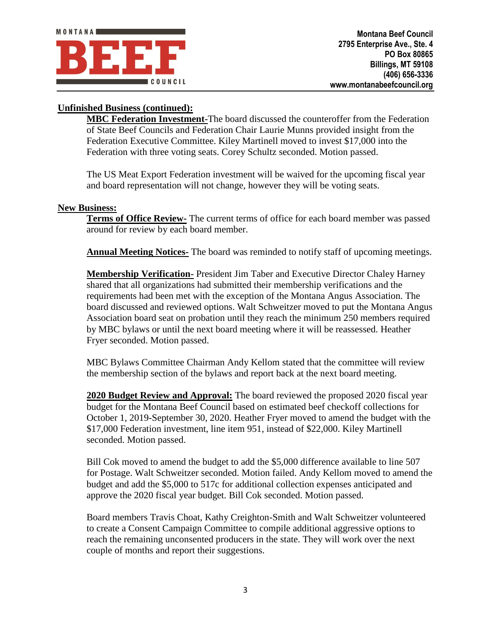# **Unfinished Business (continued):**

**MBC Federation Investment-**The board discussed the counteroffer from the Federation of State Beef Councils and Federation Chair Laurie Munns provided insight from the Federation Executive Committee. Kiley Martinell moved to invest \$17,000 into the Federation with three voting seats. Corey Schultz seconded. Motion passed.

The US Meat Export Federation investment will be waived for the upcoming fiscal year and board representation will not change, however they will be voting seats.

#### **New Business:**

**Terms of Office Review-** The current terms of office for each board member was passed around for review by each board member.

**Annual Meeting Notices-** The board was reminded to notify staff of upcoming meetings.

**Membership Verification-** President Jim Taber and Executive Director Chaley Harney shared that all organizations had submitted their membership verifications and the requirements had been met with the exception of the Montana Angus Association. The board discussed and reviewed options. Walt Schweitzer moved to put the Montana Angus Association board seat on probation until they reach the minimum 250 members required by MBC bylaws or until the next board meeting where it will be reassessed. Heather Fryer seconded. Motion passed.

MBC Bylaws Committee Chairman Andy Kellom stated that the committee will review the membership section of the bylaws and report back at the next board meeting.

**2020 Budget Review and Approval:** The board reviewed the proposed 2020 fiscal year budget for the Montana Beef Council based on estimated beef checkoff collections for October 1, 2019-September 30, 2020. Heather Fryer moved to amend the budget with the \$17,000 Federation investment, line item 951, instead of \$22,000. Kiley Martinell seconded. Motion passed.

Bill Cok moved to amend the budget to add the \$5,000 difference available to line 507 for Postage. Walt Schweitzer seconded. Motion failed. Andy Kellom moved to amend the budget and add the \$5,000 to 517c for additional collection expenses anticipated and approve the 2020 fiscal year budget. Bill Cok seconded. Motion passed.

Board members Travis Choat, Kathy Creighton-Smith and Walt Schweitzer volunteered to create a Consent Campaign Committee to compile additional aggressive options to reach the remaining unconsented producers in the state. They will work over the next couple of months and report their suggestions.